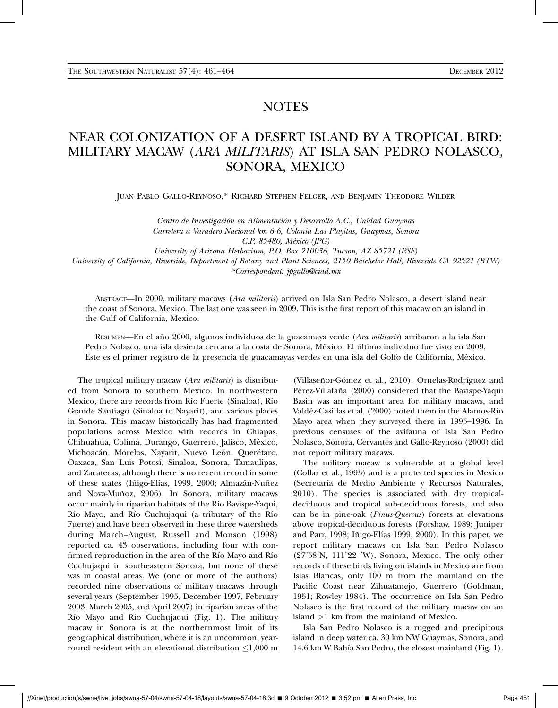## NOTES

## NEAR COLONIZATION OF A DESERT ISLAND BY A TROPICAL BIRD: MILITARY MACAW (ARA MILITARIS) AT ISLA SAN PEDRO NOLASCO, SONORA, MEXICO

JUAN PABLO GALLO-REYNOSO,\* RICHARD STEPHEN FELGER, AND BENJAMIN THEODORE WILDER

Centro de Investigación en Alimentación y Desarrollo A.C., Unidad Guaymas Carretera a Varadero Nacional km 6.6, Colonia Las Playitas, Guaymas, Sonora C.P. 85480, México (JPG)

University of Arizona Herbarium, P.O. Box 210036, Tucson, AZ 85721 (RSF)

University of California, Riverside, Department of Botany and Plant Sciences, 2150 Batchelor Hall, Riverside CA 92521 (BTW) \*Correspondent: jpgallo@ciad.mx

ABSTRACT—In 2000, military macaws (Ara militaris) arrived on Isla San Pedro Nolasco, a desert island near the coast of Sonora, Mexico. The last one was seen in 2009. This is the first report of this macaw on an island in the Gulf of California, Mexico.

RESUMEN—En el año 2000, algunos individuos de la guacamaya verde (*Ara militaris*) arribaron a la isla San Pedro Nolasco, una isla desierta cercana a la costa de Sonora, México. El último individuo fue visto en 2009. Este es el primer registro de la presencia de guacamayas verdes en una isla del Golfo de California, M´exico.

The tropical military macaw (Ara militaris) is distributed from Sonora to southern Mexico. In northwestern Mexico, there are records from Río Fuerte (Sinaloa), Río Grande Santiago (Sinaloa to Nayarit), and various places in Sonora. This macaw historically has had fragmented populations across Mexico with records in Chiapas, Chihuahua, Colima, Durango, Guerrero, Jalisco, México, Michoacán, Morelos, Nayarit, Nuevo León, Querétaro, Oaxaca, San Luis Potos´ı, Sinaloa, Sonora, Tamaulipas, and Zacatecas, although there is no recent record in some of these states (Iñigo-Elías, 1999, 2000; Almazán-Nuñez and Nova-Muñoz, 2006). In Sonora, military macaws occur mainly in riparian habitats of the Río Bavispe-Yaqui, Río Mayo, and Río Cuchujaqui (a tributary of the Río Fuerte) and have been observed in these three watersheds during March–August. Russell and Monson (1998) reported ca. 43 observations, including four with confirmed reproduction in the area of the Río Mayo and Río Cuchujaqui in southeastern Sonora, but none of these was in coastal areas. We (one or more of the authors) recorded nine observations of military macaws through several years (September 1995, December 1997, February 2003, March 2005, and April 2007) in riparian areas of the Río Mayo and Río Cuchujaqui (Fig. 1). The military macaw in Sonora is at the northernmost limit of its geographical distribution, where it is an uncommon, yearround resident with an elevational distribution  $\leq$ 1,000 m

(Villaseñor-Gómez et al., 2010). Ornelas-Rodríguez and Pérez-Villafaña (2000) considered that the Bavispe-Yaqui Basin was an important area for military macaws, and Valdéz-Casillas et al. (2000) noted them in the Alamos-Río Mayo area when they surveyed there in 1995–1996. In previous censuses of the avifauna of Isla San Pedro Nolasco, Sonora, Cervantes and Gallo-Reynoso (2000) did not report military macaws.

The military macaw is vulnerable at a global level (Collar et al., 1993) and is a protected species in Mexico (Secretaría de Medio Ambiente y Recursos Naturales, 2010). The species is associated with dry tropicaldeciduous and tropical sub-deciduous forests, and also can be in pine-oak (Pinus-Quercus) forests at elevations above tropical-deciduous forests (Forshaw, 1989; Juniper and Parr, 1998; Iñigo-Elías 1999, 2000). In this paper, we report military macaws on Isla San Pedro Nolasco (27°58'N, 111°22 'W), Sonora, Mexico. The only other records of these birds living on islands in Mexico are from Islas Blancas, only 100 m from the mainland on the Pacific Coast near Zihuatanejo, Guerrero (Goldman, 1951; Rowley 1984). The occurrence on Isla San Pedro Nolasco is the first record of the military macaw on an island >1 km from the mainland of Mexico.

Isla San Pedro Nolasco is a rugged and precipitous island in deep water ca. 30 km NW Guaymas, Sonora, and 14.6 km W Bahía San Pedro, the closest mainland (Fig. 1).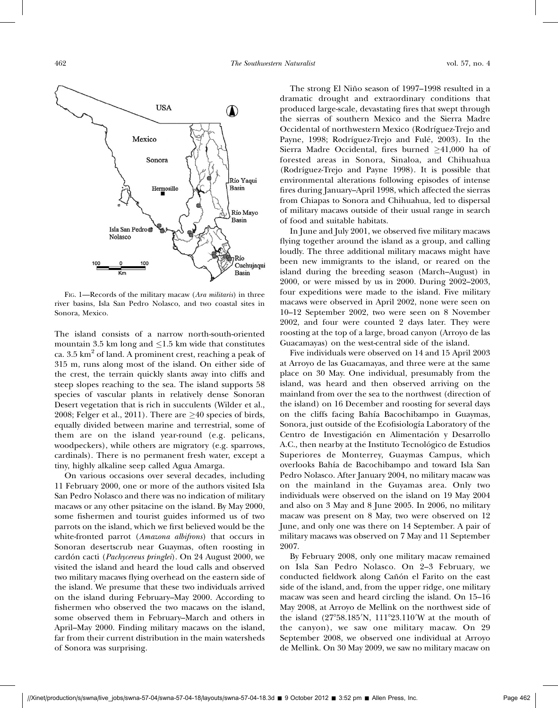

FIG. 1—Records of the military macaw (Ara militaris) in three river basins, Isla San Pedro Nolasco, and two coastal sites in Sonora, Mexico.

The island consists of a narrow north-south-oriented mountain 3.5 km long and  $\leq$ 1.5 km wide that constitutes ca.  $3.5 \text{ km}^2$  of land. A prominent crest, reaching a peak of 315 m, runs along most of the island. On either side of the crest, the terrain quickly slants away into cliffs and steep slopes reaching to the sea. The island supports 58 species of vascular plants in relatively dense Sonoran Desert vegetation that is rich in succulents (Wilder et al., 2008; Felger et al., 2011). There are  $\geq 40$  species of birds, equally divided between marine and terrestrial, some of them are on the island year-round (e.g. pelicans, woodpeckers), while others are migratory (e.g. sparrows, cardinals). There is no permanent fresh water, except a tiny, highly alkaline seep called Agua Amarga.

On various occasions over several decades, including 11 February 2000, one or more of the authors visited Isla San Pedro Nolasco and there was no indication of military macaws or any other psitacine on the island. By May 2000, some fishermen and tourist guides informed us of two parrots on the island, which we first believed would be the white-fronted parrot (Amazona albifrons) that occurs in Sonoran desertscrub near Guaymas, often roosting in cardón cacti (Pachycereus pringlei). On 24 August 2000, we visited the island and heard the loud calls and observed two military macaws flying overhead on the eastern side of the island. We presume that these two individuals arrived on the island during February–May 2000. According to fishermen who observed the two macaws on the island, some observed them in February–March and others in April–May 2000. Finding military macaws on the island, far from their current distribution in the main watersheds of Sonora was surprising.

The strong El Niño season of 1997–1998 resulted in a dramatic drought and extraordinary conditions that produced large-scale, devastating fires that swept through the sierras of southern Mexico and the Sierra Madre Occidental of northwestern Mexico (Rodríguez-Trejo and Payne, 1998; Rodríguez-Trejo and Fulé, 2003). In the Sierra Madre Occidental, fires burned  $\geq 41,000$  ha of forested areas in Sonora, Sinaloa, and Chihuahua (Rodríguez-Trejo and Payne 1998). It is possible that environmental alterations following episodes of intense fires during January–April 1998, which affected the sierras from Chiapas to Sonora and Chihuahua, led to dispersal of military macaws outside of their usual range in search of food and suitable habitats.

In June and July 2001, we observed five military macaws flying together around the island as a group, and calling loudly. The three additional military macaws might have been new immigrants to the island, or reared on the island during the breeding season (March–August) in 2000, or were missed by us in 2000. During 2002–2003, four expeditions were made to the island. Five military macaws were observed in April 2002, none were seen on 10–12 September 2002, two were seen on 8 November 2002, and four were counted 2 days later. They were roosting at the top of a large, broad canyon (Arroyo de las Guacamayas) on the west-central side of the island.

Five individuals were observed on 14 and 15 April 2003 at Arroyo de las Guacamayas, and three were at the same place on 30 May. One individual, presumably from the island, was heard and then observed arriving on the mainland from over the sea to the northwest (direction of the island) on 16 December and roosting for several days on the cliffs facing Bah´ıa Bacochibampo in Guaymas, Sonora, just outside of the Ecofisiología Laboratory of the Centro de Investigación en Alimentación y Desarrollo A.C., then nearby at the Instituto Tecnológico de Estudios Superiores de Monterrey, Guaymas Campus, which overlooks Bah´ıa de Bacochibampo and toward Isla San Pedro Nolasco. After January 2004, no military macaw was on the mainland in the Guyamas area. Only two individuals were observed on the island on 19 May 2004 and also on 3 May and 8 June 2005. In 2006, no military macaw was present on 8 May, two were observed on 12 June, and only one was there on 14 September. A pair of military macaws was observed on 7 May and 11 September 2007.

By February 2008, only one military macaw remained on Isla San Pedro Nolasco. On 2–3 February, we conducted fieldwork along Cañón el Farito on the east side of the island, and, from the upper ridge, one military macaw was seen and heard circling the island. On 15–16 May 2008, at Arroyo de Mellink on the northwest side of the island  $(27^{\circ}58.185'N, 111^{\circ}23.110'W$  at the mouth of the canyon), we saw one military macaw. On 29 September 2008, we observed one individual at Arroyo de Mellink. On 30 May 2009, we saw no military macaw on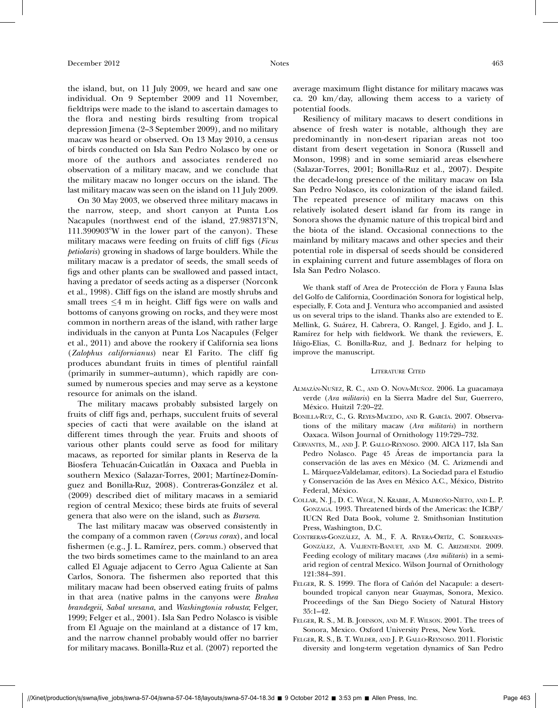the island, but, on 11 July 2009, we heard and saw one individual. On 9 September 2009 and 11 November, fieldtrips were made to the island to ascertain damages to the flora and nesting birds resulting from tropical depression Jimena (2–3 September 2009), and no military macaw was heard or observed. On 13 May 2010, a census of birds conducted on Isla San Pedro Nolasco by one or more of the authors and associates rendered no observation of a military macaw, and we conclude that the military macaw no longer occurs on the island. The last military macaw was seen on the island on 11 July 2009.

On 30 May 2003, we observed three military macaws in the narrow, steep, and short canyon at Punta Los Nacapules (northwest end of the island, 27.983713°N,  $111.390903^{\circ}$ W in the lower part of the canyon). These military macaws were feeding on fruits of cliff figs (Ficus petiolaris) growing in shadows of large boulders. While the military macaw is a predator of seeds, the small seeds of figs and other plants can be swallowed and passed intact, having a predator of seeds acting as a disperser (Norconk et al., 1998). Cliff figs on the island are mostly shrubs and small trees  $\leq 4$  m in height. Cliff figs were on walls and bottoms of canyons growing on rocks, and they were most common in northern areas of the island, with rather large individuals in the canyon at Punta Los Nacapules (Felger et al., 2011) and above the rookery if California sea lions (Zalophus californianus) near El Farito. The cliff fig produces abundant fruits in times of plentiful rainfall (primarily in summer–autumn), which rapidly are consumed by numerous species and may serve as a keystone resource for animals on the island.

The military macaws probably subsisted largely on fruits of cliff figs and, perhaps, succulent fruits of several species of cacti that were available on the island at different times through the year. Fruits and shoots of various other plants could serve as food for military macaws, as reported for similar plants in Reserva de la Biosfera Tehuacán-Cuicatlán in Oaxaca and Puebla in southern Mexico (Salazar-Torres, 2001; Martínez-Domínguez and Bonilla-Ruz, 2008). Contreras-González et al. (2009) described diet of military macaws in a semiarid region of central Mexico; these birds ate fruits of several genera that also were on the island, such as Bursera.

The last military macaw was observed consistently in the company of a common raven (Corvus corax), and local fishermen (e.g., J. L. Ramírez, pers. comm.) observed that the two birds sometimes came to the mainland to an area called El Aguaje adjacent to Cerro Agua Caliente at San Carlos, Sonora. The fishermen also reported that this military macaw had been observed eating fruits of palms in that area (native palms in the canyons were Brahea brandegeii, Sabal uresana, and Washingtonia robusta; Felger, 1999; Felger et al., 2001). Isla San Pedro Nolasco is visible from El Aguaje on the mainland at a distance of 17 km, and the narrow channel probably would offer no barrier for military macaws. Bonilla-Ruz et al. (2007) reported the average maximum flight distance for military macaws was ca. 20 km/day, allowing them access to a variety of potential foods.

Resiliency of military macaws to desert conditions in absence of fresh water is notable, although they are predominantly in non-desert riparian areas not too distant from desert vegetation in Sonora (Russell and Monson, 1998) and in some semiarid areas elsewhere (Salazar-Torres, 2001; Bonilla-Ruz et al., 2007). Despite the decade-long presence of the military macaw on Isla San Pedro Nolasco, its colonization of the island failed. The repeated presence of military macaws on this relatively isolated desert island far from its range in Sonora shows the dynamic nature of this tropical bird and the biota of the island. Occasional connections to the mainland by military macaws and other species and their potential role in dispersal of seeds should be considered in explaining current and future assemblages of flora on Isla San Pedro Nolasco.

We thank staff of Area de Protección de Flora y Fauna Islas del Golfo de California, Coordinación Sonora for logistical help, especially, F. Cota and J. Ventura who accompanied and assisted us on several trips to the island. Thanks also are extended to E. Mellink, G. Suárez, H. Cabrera, O. Rangel, J. Egido, and J. L. Ramírez for help with fieldwork. We thank the reviewers, E. Iñigo-Elias, C. Bonilla-Ruz, and J. Bednarz for helping to improve the manuscript.

## LITERATURE CITED

- ALMAZÁN-NUÑEZ, R. C., AND O. NOVA-MUÑOZ. 2006. La guacamaya verde (Ara militaris) en la Sierra Madre del Sur, Guerrero, México. Huitzil 7:20-22.
- BONILLA-RUZ, C., G. REYES-MACEDO, AND R. GARCÍA. 2007. Observations of the military macaw (Ara militaris) in northern Oaxaca. Wilson Journal of Ornithology 119:729–732.
- CERVANTES, M., AND J. P. GALLO-REYNOSO. 2000. AICA 117, Isla San Pedro Nolasco. Page 45 Areas de importancia para la ´ conservación de las aves en México (M. C. Arizmendi and L. M´arquez-Valdelamar, editors). La Sociedad para el Estudio y Conservación de las Aves en México A.C., México, Distrito Federal, México.
- COLLAR, N. J., D. C. WEGE, N. KRABBE, A. MADROÑO-NIETO, AND L. P. GONZAGA. 1993. Threatened birds of the Americas: the ICBP/ IUCN Red Data Book, volume 2. Smithsonian Institution Press, Washington, D.C.
- CONTRERAS-GONZÁLEZ, A. M., F. A. RIVERA-ORTÍZ, C. SOBERANES-GONZÁLEZ, A. VALIENTE-BANUET, AND M. C. ARIZMENDI. 2009. Feeding ecology of military macaws (Ara militaris) in a semiarid region of central Mexico. Wilson Journal of Ornithology 121:384–391.
- FELGER, R. S. 1999. The flora of Cañón del Nacapule: a desertbounded tropical canyon near Guaymas, Sonora, Mexico. Proceedings of the San Diego Society of Natural History 35:1–42.
- FELGER, R. S., M. B. JOHNSON, AND M. F. WILSON. 2001. The trees of Sonora, Mexico. Oxford University Press, New York.
- FELGER, R. S., B. T. WILDER, AND J. P. GALLO-REYNOSO. 2011. Floristic diversity and long-term vegetation dynamics of San Pedro